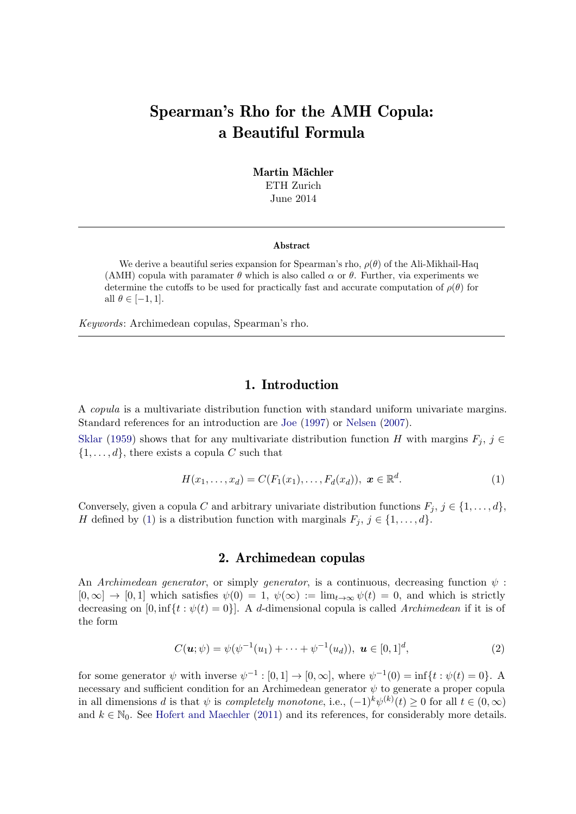# Spearman's Rho for the AMH Copula: a Beautiful Formula

Martin Mächler ETH Zurich June 2014

#### Abstract

We derive a beautiful series expansion for Spearman's rho,  $\rho(\theta)$  of the Ali-Mikhail-Haq (AMH) copula with paramater  $\theta$  which is also called  $\alpha$  or  $\theta$ . Further, via experiments we determine the cutoffs to be used for practically fast and accurate computation of  $\rho(\theta)$  for all  $\theta \in [-1, 1].$ 

Keywords: Archimedean copulas, Spearman's rho.

## <span id="page-0-0"></span>1. Introduction

A copula is a multivariate distribution function with standard uniform univariate margins. Standard references for an introduction are [Joe](#page-15-0) [\(1997\)](#page-15-0) or [Nelsen](#page-15-1) [\(2007\)](#page-15-1).

[Sklar](#page-15-2) [\(1959\)](#page-15-2) shows that for any multivariate distribution function H with margins  $F_i$ ,  $j \in$  $\{1, \ldots, d\}$ , there exists a copula C such that

$$
H(x_1, ..., x_d) = C(F_1(x_1), ..., F_d(x_d)), \ \mathbf{x} \in \mathbb{R}^d.
$$
 (1)

Conversely, given a copula C and arbitrary univariate distribution functions  $F_j$ ,  $j \in \{1, \ldots, d\}$ , H defined by [\(1\)](#page-0-0) is a distribution function with marginals  $F_j$ ,  $j \in \{1, \ldots, d\}$ .

## 2. Archimedean copulas

An Archimedean generator, or simply generator, is a continuous, decreasing function  $\psi$ :  $[0,\infty] \to [0,1]$  which satisfies  $\psi(0) = 1$ ,  $\psi(\infty) := \lim_{t \to \infty} \psi(t) = 0$ , and which is strictly decreasing on  $[0, \inf\{t : \psi(t) = 0\}]$ . A d-dimensional copula is called Archimedean if it is of the form

$$
C(\mathbf{u};\psi) = \psi(\psi^{-1}(u_1) + \dots + \psi^{-1}(u_d)), \ \mathbf{u} \in [0,1]^d,
$$
 (2)

for some generator  $\psi$  with inverse  $\psi^{-1} : [0,1] \to [0,\infty]$ , where  $\psi^{-1}(0) = \inf\{t : \psi(t) = 0\}$ . A necessary and sufficient condition for an Archimedean generator  $\psi$  to generate a proper copula in all dimensions d is that  $\psi$  is completely monotone, i.e.,  $(-1)^k \psi^{(k)}(t) \geq 0$  for all  $t \in (0, \infty)$ and  $k \in \mathbb{N}_0$ . See [Hofert and Maechler](#page-15-3) [\(2011\)](#page-15-3) and its references, for considerably more details.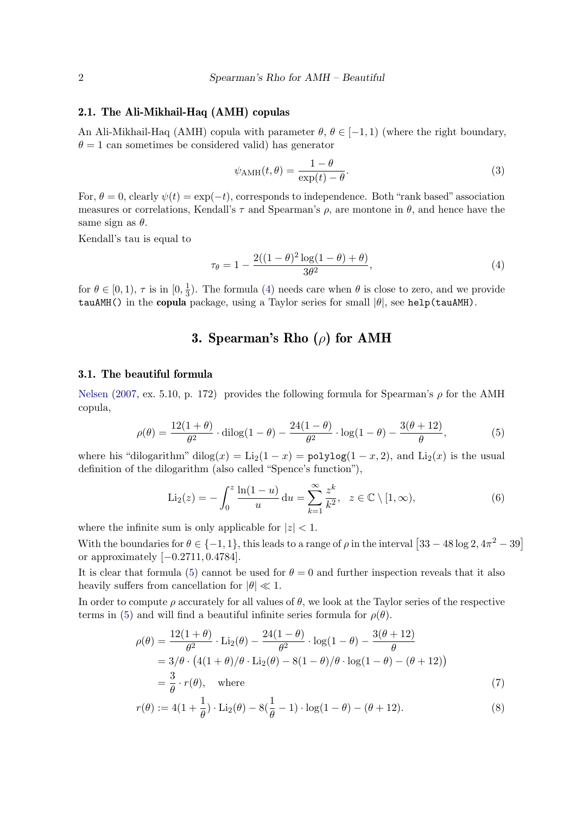#### 2.1. The Ali-Mikhail-Haq (AMH) copulas

An Ali-Mikhail-Haq (AMH) copula with parameter  $\theta$ ,  $\theta \in [-1, 1)$  (where the right boundary,  $\theta = 1$  can sometimes be considered valid) has generator

<span id="page-1-0"></span>
$$
\psi_{\text{AMH}}(t,\theta) = \frac{1-\theta}{\exp(t) - \theta}.
$$
\n(3)

For,  $\theta = 0$ , clearly  $\psi(t) = \exp(-t)$ , corresponds to independence. Both "rank based" association measures or correlations, Kendall's  $\tau$  and Spearman's  $\rho$ , are montone in  $\theta$ , and hence have the same sign as  $\theta$ .

Kendall's tau is equal to

$$
\tau_{\theta} = 1 - \frac{2((1 - \theta)^2 \log(1 - \theta) + \theta)}{3\theta^2},\tag{4}
$$

for  $\theta \in [0, 1)$ ,  $\tau$  is in  $[0, \frac{1}{3}]$  $\frac{1}{3}$ ). The formula [\(4\)](#page-1-0) needs care when  $\theta$  is close to zero, and we provide tauAMH() in the copula package, using a Taylor series for small  $|\theta|$ , see help(tauAMH).

# <span id="page-1-1"></span>3. Spearman's Rho  $(\rho)$  for AMH

#### 3.1. The beautiful formula

[Nelsen](#page-15-1) [\(2007,](#page-15-1) ex. 5.10, p. 172) provides the following formula for Spearman's  $\rho$  for the AMH copula,

$$
\rho(\theta) = \frac{12(1+\theta)}{\theta^2} \cdot \text{dilog}(1-\theta) - \frac{24(1-\theta)}{\theta^2} \cdot \log(1-\theta) - \frac{3(\theta+12)}{\theta},\tag{5}
$$

where his "dilogarithm" dilog(x) = Li<sub>2</sub>(1 – x) = polylog(1 – x, 2), and Li<sub>2</sub>(x) is the usual definition of the dilogarithm (also called "Spence's function"),

$$
\text{Li}_2(z) = -\int_0^z \frac{\ln(1-u)}{u} \, \mathrm{d}u = \sum_{k=1}^\infty \frac{z^k}{k^2}, \quad z \in \mathbb{C} \setminus [1, \infty), \tag{6}
$$

where the infinite sum is only applicable for  $|z| < 1$ .

With the boundaries for  $\theta \in \{-1, 1\}$ , this leads to a range of  $\rho$  in the interval  $[33 - 48 \log 2, 4\pi^2 - 39]$ or approximately [−0.2711, 0.4784].

It is clear that formula [\(5\)](#page-1-1) cannot be used for  $\theta = 0$  and further inspection reveals that it also heavily suffers from cancellation for  $|\theta| \ll 1$ .

In order to compute  $\rho$  accurately for all values of  $\theta$ , we look at the Taylor series of the respective terms in [\(5\)](#page-1-1) and will find a beautiful infinite series formula for  $\rho(\theta)$ .

$$
\rho(\theta) = \frac{12(1+\theta)}{\theta^2} \cdot \text{Li}_2(\theta) - \frac{24(1-\theta)}{\theta^2} \cdot \log(1-\theta) - \frac{3(\theta+12)}{\theta}
$$
  
=  $3/\theta \cdot (4(1+\theta)/\theta \cdot \text{Li}_2(\theta) - 8(1-\theta)/\theta \cdot \log(1-\theta) - (\theta+12))$   
=  $\frac{3}{2} \cdot r(\theta)$  where (7)

<span id="page-1-3"></span><span id="page-1-2"></span>
$$
=\frac{6}{\theta} \cdot r(\theta), \quad \text{where} \tag{7}
$$

$$
r(\theta) := 4(1 + \frac{1}{\theta}) \cdot \text{Li}_2(\theta) - 8(\frac{1}{\theta} - 1) \cdot \log(1 - \theta) - (\theta + 12). \tag{8}
$$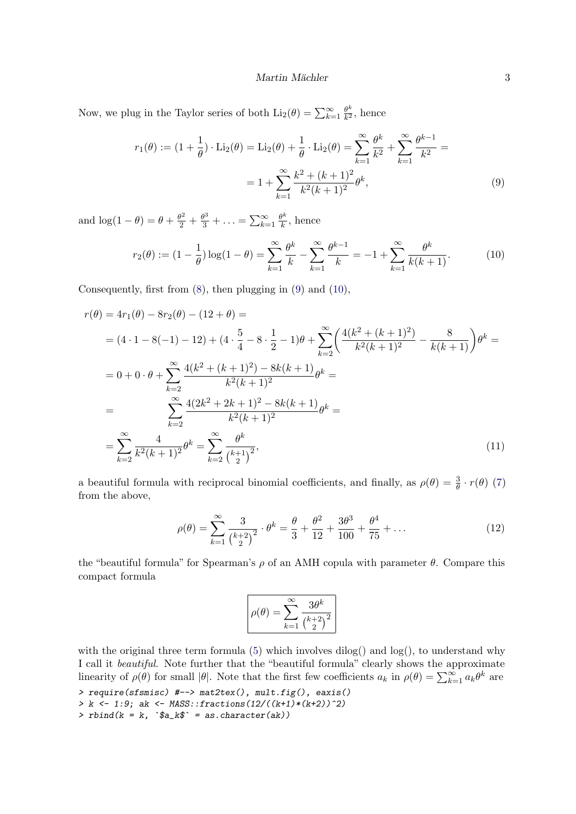Now, we plug in the Taylor series of both  $\text{Li}_2(\theta) = \sum_{k=1}^{\infty} \frac{\theta^k}{k^2}$  $\frac{\theta^{\kappa}}{k^2}$ , hence

$$
r_1(\theta) := (1 + \frac{1}{\theta}) \cdot \text{Li}_2(\theta) = \text{Li}_2(\theta) + \frac{1}{\theta} \cdot \text{Li}_2(\theta) = \sum_{k=1}^{\infty} \frac{\theta^k}{k^2} + \sum_{k=1}^{\infty} \frac{\theta^{k-1}}{k^2} =
$$
  
=  $1 + \sum_{k=1}^{\infty} \frac{k^2 + (k+1)^2}{k^2 (k+1)^2} \theta^k,$  (9)

and  $\log(1 - \theta) = \theta + \frac{\theta^2}{2} + \frac{\theta^3}{3} + \ldots = \sum_{k=1}^{\infty} \frac{\theta^k}{k}$  $\frac{d^n}{k}$ , hence

$$
r_2(\theta) := (1 - \frac{1}{\theta}) \log(1 - \theta) = \sum_{k=1}^{\infty} \frac{\theta^k}{k} - \sum_{k=1}^{\infty} \frac{\theta^{k-1}}{k} = -1 + \sum_{k=1}^{\infty} \frac{\theta^k}{k(k+1)}.
$$
 (10)

Consequently, first from [\(8\)](#page-1-2), then plugging in [\(9\)](#page-2-0) and [\(10\)](#page-2-1),

$$
r(\theta) = 4r_1(\theta) - 8r_2(\theta) - (12 + \theta) =
$$
  
\n
$$
= (4 \cdot 1 - 8(-1) - 12) + (4 \cdot \frac{5}{4} - 8 \cdot \frac{1}{2} - 1)\theta + \sum_{k=2}^{\infty} \left(\frac{4(k^2 + (k+1)^2)}{k^2(k+1)^2} - \frac{8}{k(k+1)}\right)\theta^k =
$$
  
\n
$$
= 0 + 0 \cdot \theta + \sum_{k=2}^{\infty} \frac{4(k^2 + (k+1)^2) - 8k(k+1)}{k^2(k+1)^2} \theta^k =
$$
  
\n
$$
= \sum_{k=2}^{\infty} \frac{4(2k^2 + 2k + 1)^2 - 8k(k+1)}{k^2(k+1)^2} \theta^k =
$$
  
\n
$$
= \sum_{k=2}^{\infty} \frac{4}{k^2(k+1)^2} \theta^k = \sum_{k=2}^{\infty} \frac{\theta^k}{\binom{k+1}{2}},
$$
\n(11)

a beautiful formula with reciprocal binomial coefficients, and finally, as  $\rho(\theta) = \frac{3}{\theta} \cdot r(\theta)$  [\(7\)](#page-1-3) from the above,

$$
\rho(\theta) = \sum_{k=1}^{\infty} \frac{3}{\binom{k+2}{2}^2} \cdot \theta^k = \frac{\theta}{3} + \frac{\theta^2}{12} + \frac{3\theta^3}{100} + \frac{\theta^4}{75} + \dots
$$
\n(12)

the "beautiful formula" for Spearman's  $\rho$  of an AMH copula with parameter  $\theta$ . Compare this compact formula

$$
\rho(\theta) = \sum_{k=1}^{\infty} \frac{3\theta^k}{\binom{k+2}{2}^2}
$$

with the original three term formula [\(5\)](#page-1-1) which involves dilog() and  $log()$ , to understand why I call it beautiful. Note further that the "beautiful formula" clearly shows the approximate linearity of  $\rho(\theta)$  for small | $\theta$ . Note that the first few coefficients  $a_k$  in  $\rho(\theta) = \sum_{k=1}^{\infty} a_k \theta^k$  are

> require(sfsmisc) #--> mat2tex(), mult.fig(), eaxis()

> k <- 1:9; ak <-  $MASS:$ :  $fractions(12/((k+1)*(k+2))^2)$ >  $rbind(k = k, \degree$ \$a\_k\$ = as.character(ak))

<span id="page-2-1"></span><span id="page-2-0"></span>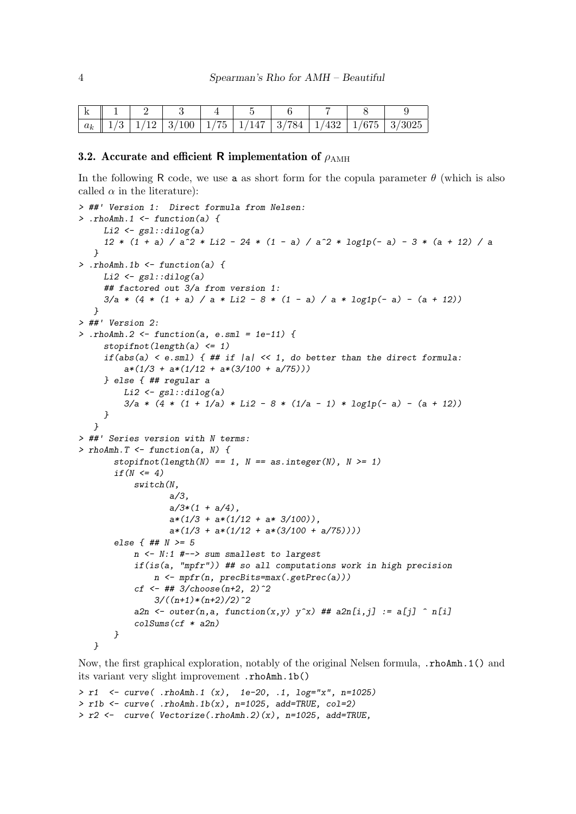|  |  |  |  | $ a_k $ 1/3   1/12   3/100   1/75   1/147   3/784   1/432   1/675   3/3025 |
|--|--|--|--|----------------------------------------------------------------------------|

#### 3.2. Accurate and efficient R implementation of  $\rho_{AMH}$

In the following R code, we use a as short form for the copula parameter  $\theta$  (which is also called  $\alpha$  in the literature):

```
> ##' Version 1: Direct formula from Nelsen:
> .rhoAmh.1 \le function(a) {
     Li2 \leftarrow gsl:divig(a)12 * (1 + a) / a<sup>2</sup> * Li2 - 24 * (1 - a) / a<sup>2</sup> * log1p(- a) - 3 * (a + 12) / a
   }
> .rhoAmh.1b <- function(a) {
     Li2 \leftarrow gsl::dilog(a)
     ## factored out 3/a from version 1:
     3/a * (4 * (1 + a) / a * Li2 - 8 * (1 - a) / a * log1p(- a) - (a + 12))}
> ##' Version 2:
> .rhoAmh.2 <- function(a, e.sml = 1e-11) {
     stopifnot(length(a) \leq 1)if(abs(a) \le e.sml) { ## if |a| \le 1, do better than the direct formula:
         a*(1/3 + a*(1/12 + a*(3/100 + a/75)))} else { ## regular a
         Li2 \leftarrow gsl::dilog(a)
         3/a * (4 * (1 + 1/a) * Li2 - 8 * (1/a - 1) * log1p(-a) - (a + 12))}
   }
> ##' Series version with N terms:
> rhoAmh. T <- function(a, N) {
       stopifnot(length(N) == 1, N == as.integer(N), N >= 1)if(N \leq 4)switch(N,
                   a/3,
                   a/3*(1 + a/4),
                   a*(1/3 + a*(1/12 + a* 3/100)),a*(1/3 + a*(1/12 + a*(3/100 + a/75))))else { ## N >= 5
           n <- N:1 #--> sum smallest to largest
           if(is(a, "mpfr")) ## so all computations work in high precision
               n \leftarrow mfr(n, precBits = max(.getPrec(a)))cf \leftarrow ## 3/choose(n+2, 2)^2
                3/((n+1)*(n+2)/2)^2a2n \leq outer(n,a, function(x,y) y^x) ## a2n[i,j] := a[j] \cap n[i]
           colSums(cf * a2n)}
   }
```
Now, the first graphical exploration, notably of the original Nelsen formula, .rhoAmh.1() and its variant very slight improvement .rhoAmh.1b()

```
> r1 <- curve( .rhoAmh.1 (x), 1e-20, .1, log="x", n=1025)
> r1b \le curve( .rhoAmh.1b(x), n=1025, add=TRUE, col=2)
> r2 <- curve( Vectorize( .rhoAmh. 2)(x), n=1025, add=TRUE,
```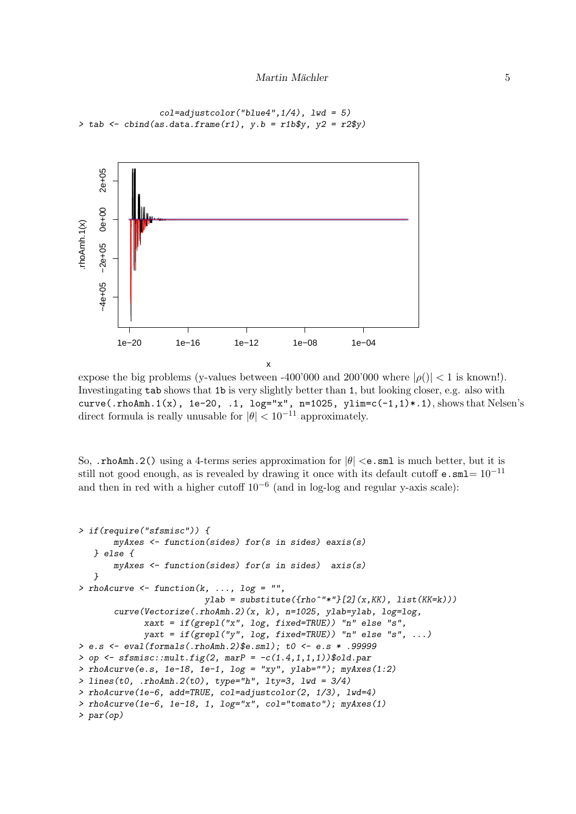```
col=adjustcolor('blue4", 1/4), 1wd = 5)> tab <- cbind(as.data.frame(r1), y.b = r1b$y, y2 = r2$y)
```


expose the big problems (y-values between -400'000 and 200'000 where  $|\rho()| < 1$  is known!). Investingating tab shows that 1b is very slightly better than 1, but looking closer, e.g. also with curve(.rhoAmh.1(x),  $1e-20$ , .1,  $log="x"$ ,  $n=1025$ ,  $vlim=c(-1,1)*.1$ ), shows that Nelsen's direct formula is really unusable for  $|\theta| < 10^{-11}$  approximately.

So, .rhoAmh.2() using a 4-terms series approximation for  $|\theta| < e$ .sml is much better, but it is still not good enough, as is revealed by drawing it once with its default cutoff **e.** sml=  $10^{-11}$ and then in red with a higher cutoff  $10^{-6}$  (and in log-log and regular y-axis scale):

```
> if(require("sfsmisc")) {
       myAxes <- function(sides) for(s in sides) eaxis(s)
  } else {
      myAxes <- function(sides) for(s in sides) axis(s)
   }
> rhoAcurve \leq function(k, ..., log = "",
                         ylab = substitute({rho^*"*"}[2](x,KK), list(KK=k)))
       curve(Vectorize(.rhoAmh.2)(x, k), n=1025, ylab=ylab, log=log,
             xaxt = if(grepl("x", log, fixed=TRUE)) "n" else "s",
             yaxt = if(grepl("y", log, fixed=TRUE)) "n" else "s", ...)
> e.s <- eval(formals(.rhoAmh.2)$e.sml); t0 <- e.s * .99999
> op \leq sfsmisc::mult.fig(2, marP = -c(1.4,1,1,1))$old.par
> rhoAcurve(e.s, 1e-18, 1e-1, log = "xy", ylab=""); myAxes(1:2)> lines(t0, .rhoAmh.2(t0), type="h", lty=3, lwd = 3/4)
> rhoAcurve(1e-6, add=TRUE, col=adjustcolor(2, 1/3), lwd=4)
> rhoAcurve(1e-6, 1e-18, 1, log="x", col="tomato"); myAxes(1)
> par(op)
```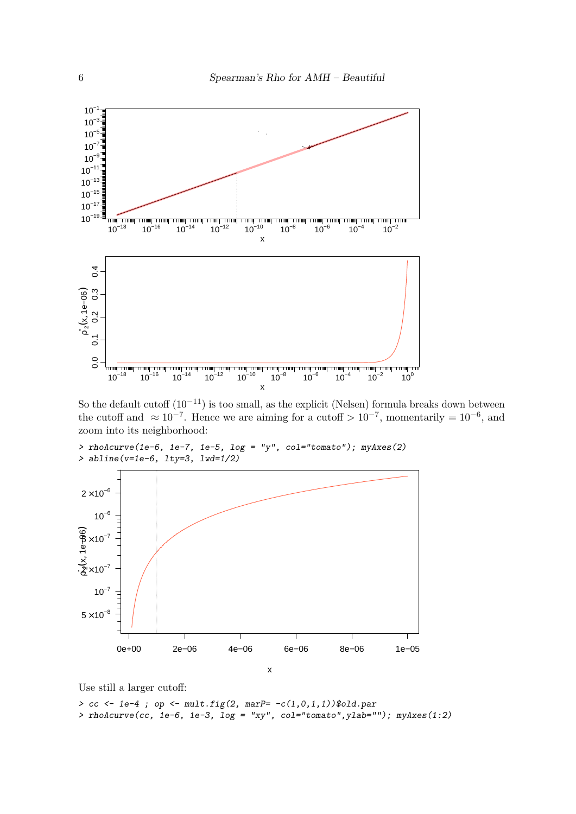

So the default cutoff  $(10^{-11})$  is too small, as the explicit (Nelsen) formula breaks down between the cutoff and  $\approx 10^{-7}$ . Hence we are aiming for a cutoff  $> 10^{-7}$ , momentarily =  $10^{-6}$ , and zoom into its neighborhood:

```
> rhoAcurve(1e-6, 1e-7, 1e-5, log = "y", col="tomato"); myAxes(2)
> abline(v=1e-6, lty=3, lwd=1/2)
```


Use still a larger cutoff:

> cc <- 1e-4 ; op <- mult.fig(2, marP=  $-c(1,0,1,1)$ )\$old.par > rhoAcurve(cc, 1e-6, 1e-3,  $log = "xy", col="tomato", ylab=""); myAxes(1:2)$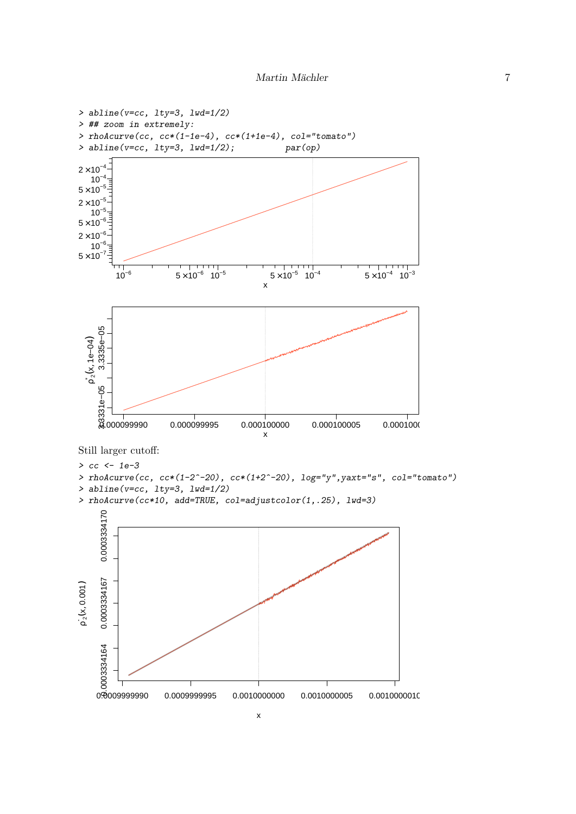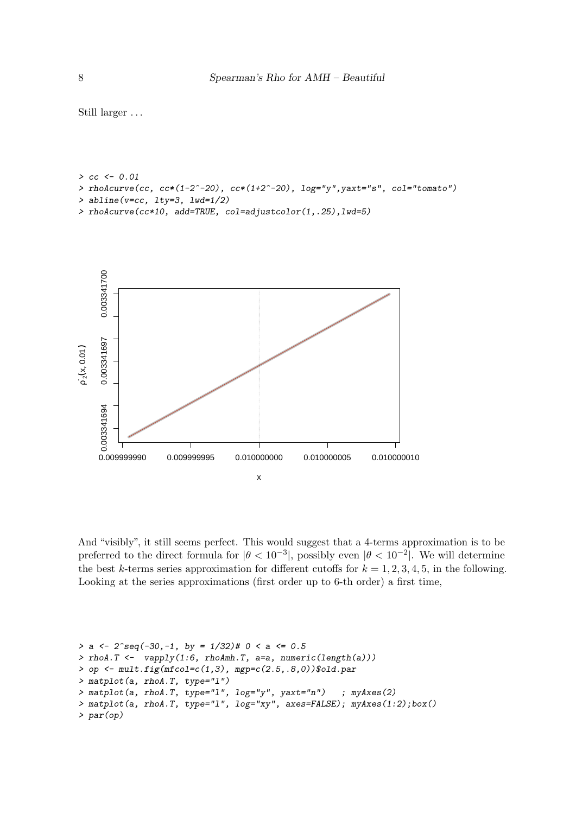```
> cc < -0.01> rhoAcurve(cc, cc*(1-2^-20), cc*(1+2^-20), log="y",yaxt="s", col="tomato")
> abline(v=c, lty=3, lwd=1/2)
> rhoAcurve(cc*10, add=TRUE, col=adjustcolor(1,.25),lwd=5)
```


And "visibly", it still seems perfect. This would suggest that a 4-terms approximation is to be preferred to the direct formula for  $|\theta < 10^{-3}|$ , possibly even  $|\theta < 10^{-2}|$ . We will determine the best k-terms series approximation for different cutoffs for  $k = 1, 2, 3, 4, 5$ , in the following. Looking at the series approximations (first order up to 6-th order) a first time,

```
> a <- 2^seq(-30,-1, by = 1/32)# 0 < a <= 0.5
> rho. T \leftarrow vapply(1:6, rhoAmh.T, a=a, numeric(length(a)))> op <- mult.fig(mfcol=c(1,3), mgp=c(2.5,.8,0))$old.par
> matplot(a, rhoA.T, type="l")
> matplot(a, rhoA.T, type="l", log="y", yaxt="n") ; myAxes(2)
> matplot(a, rhoA.T, type="l", log="xy", axes=FALSE); myAxes(1:2);box()
> par(op)
```
Still larger . . .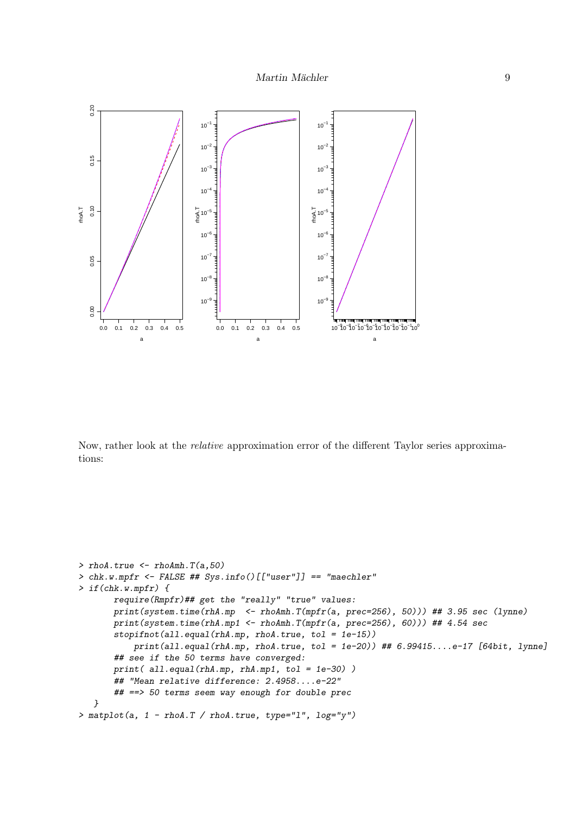

Now, rather look at the relative approximation error of the different Taylor series approximations:

```
> rhoA.true <- rhoAmh.T(a,50)
> chk.w.mpfr <- FALSE ## Sys.info()[["user"]] == "maechler"
> if(chk.w.mpfr) {
       require(Rmpfr)## get the "really" "true" values:
       print(system.time(rhA.mp <- rhoAmh.T(mpfr(a, prec=256), 50))) ## 3.95 sec (lynne)
       print(system.time(rhA.mp1 <- rhoAmh.T(mpfr(a, prec=256), 60))) ## 4.54 sec
       stopifnot(all.equal(rhA.mp, rhoA.true, tol = 1e-15))
           print(all.equal(rhA.mp, rhoA.true, tol = 1e-20)) ## 6.99415....e-17 [64bit, lynne]
       ## see if the 50 terms have converged:
       print( all.equal(rhA.mp, rhA.mp1, tol = 1e-30) )
       ## "Mean relative difference: 2.4958....e-22"
       ## ==> 50 terms seem way enough for double prec
   }
> matplot(a, 1 - \text{rhoA.T} / \text{rhoA.true, type="1", log='y")}
```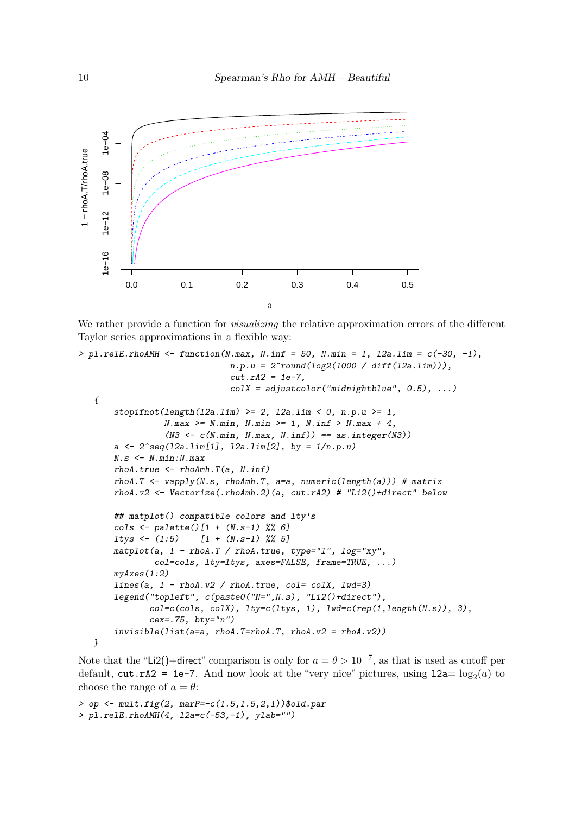

We rather provide a function for *visualizing* the relative approximation errors of the different Taylor series approximations in a flexible way:

```
> pl.relE.rhoAMH <- function(N.max, N.inf = 50, N.min = 1, 12a.lim = c(-30, -1),
                               n.p.u = 2<sup>2</sup>round(log2(1000 / diff(l2a.lim))),
                                cut.rA2 = 1e-7.
                                colX = adjustcolor("midnightblue", 0.5), ...{
       stopifnot(length(l2a.lim) >= 2, l2a.lim < 0, n.p.u >= 1,
                  N.max >= N.min, N.min >= 1, N.inf > N.max + 4,
                  (N3 \leq c(N.min, N.max, N.inf)) == as.integer(N3))a \leq 2 \text{ erg}(12a.1im[1], 12a.1im[2], by = 1/n.p.u)N.s < - N.min:N.maxrho A. true \leftarrow rho A m h. T(a, N. inf)rhoA.T <- vapply(N.s, rhoAmh.T, a=a, numeric(length(a))) # matrix
       rhoA.v2 <- Vectorize(.rhoAmh.2)(a, cut.rA2) # "Li2()+direct" below
       ## matplot() compatible colors and lty's
       cols <- palette()[1 + (N.s-1) %% 6]
       ltys <- (1:5) [1 + (N.s-1) %% 5]
       matplot(a, 1 - rhoA.T / rhoA.true, type="1", log="xy",
                col=cols, lty=ltys, axes=FALSE, frame=TRUE, ...)
       myAxes(1:2)
       lines(a, 1 - rhoA.v2 / rhoA.true, col = colX, lwd=3)legend("topleft", c(paste0("N=",N.s), "Li2()+direct"),
              col=c(cols, colX), \text{lty}=c(\text{ltys}, 1), \text{lwd}=c(rep(1, \text{length}(N.s)), 3),cex = .75, bty = "n")invisible(list(a=a, rhoA.T=rhoA.T, rhoA.v2 = rhoA.v2))}
```
Note that the "Li2()+direct" comparison is only for  $a = \theta > 10^{-7}$ , as that is used as cutoff per default,  $cut.rA2 = 1e-7$ . And now look at the "very nice" pictures, using  $12a = log<sub>2</sub>(a)$  to choose the range of  $a = \theta$ :

```
> op <- mult.fig(2, mark = -c(1.5, 1.5, 2, 1))$old.par
> pl.relE.rhoAMH(4, l2a=c(-53,-1), ylab="")
```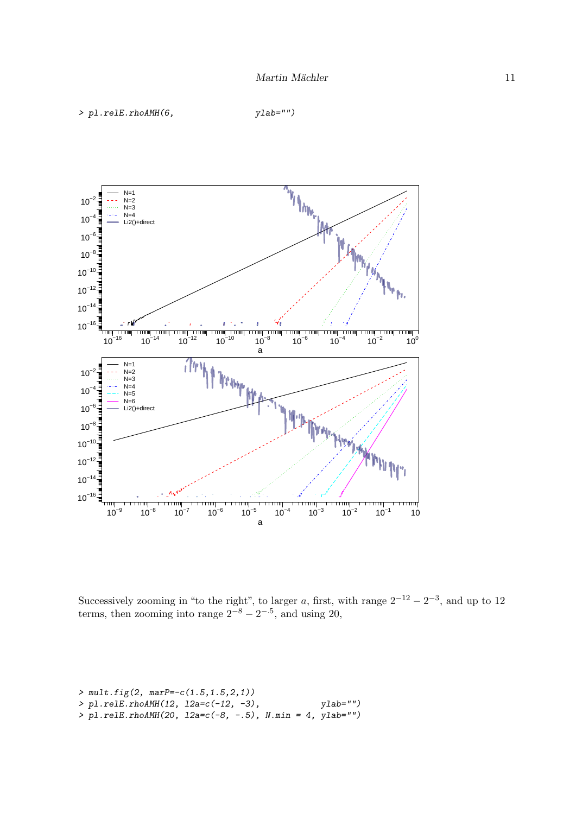```
> pl.relE.rhoAMH(6, ylab="")
```


Successively zooming in "to the right", to larger a, first, with range  $2^{-12} - 2^{-3}$ , and up to 12 terms, then zooming into range  $2^{-8} - 2^{-.5}$ , and using 20,

```
> mult.fig(2, marP=-c(1.5, 1.5, 2, 1))
> pl.relE.rhoAMH(12, l2a=c(-12, -3), ylab="")
> pl.relE.rhoAMH(20, l2a=c(-8, -.5), N.min = 4, ylab="")
```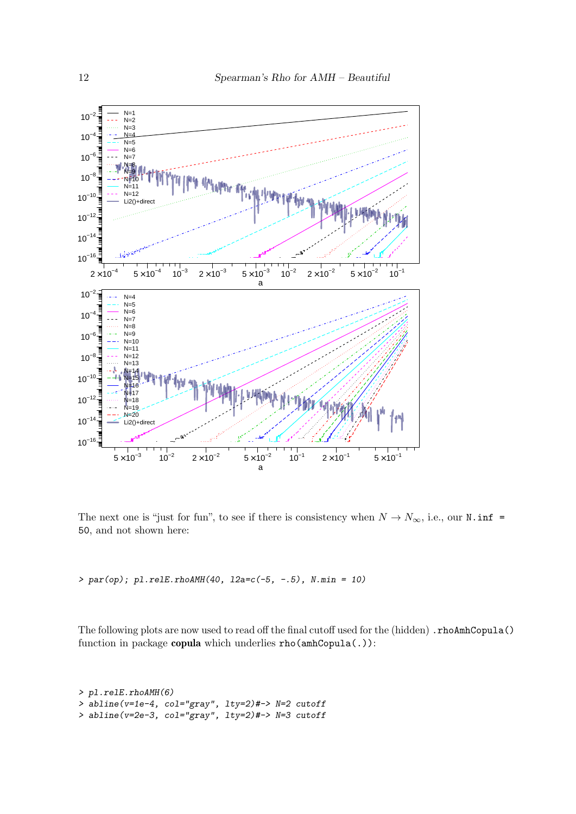

The next one is "just for fun", to see if there is consistency when  $N \to N_\infty$ , i.e., our N.inf = 50, and not shown here:

 $> par(op); p1. relE.rhoAMH(40, 12a=c(-5, -.5), N.min = 10)$ 

The following plots are now used to read off the final cutoff used for the (hidden) .rhoAmhCopula() function in package copula which underlies rho(amhCopula(.)):

```
> pl.relE.rhoAMH(6)
> abline(v=1e-4, col="gray", lty=2)#-> N=2 cutoff
> abline(v=2e-3, col="gray", lty=2)#-> N=3 cutoff
```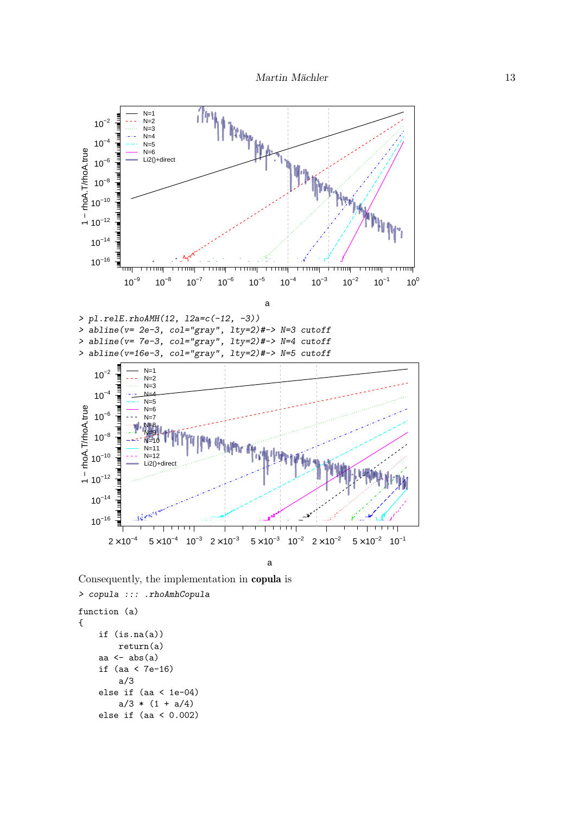

Consequently, the implementation in copula is

```
> copula ::: .rhoAmhCopula
function (a)
{
    if (is.na(a))
        return(a)
    aa \leftarrow abs(a)if (aa < 7e-16)
        a/3
    else if (aa < 1e-04)
        a/3 * (1 + a/4)else if (aa < 0.002)
```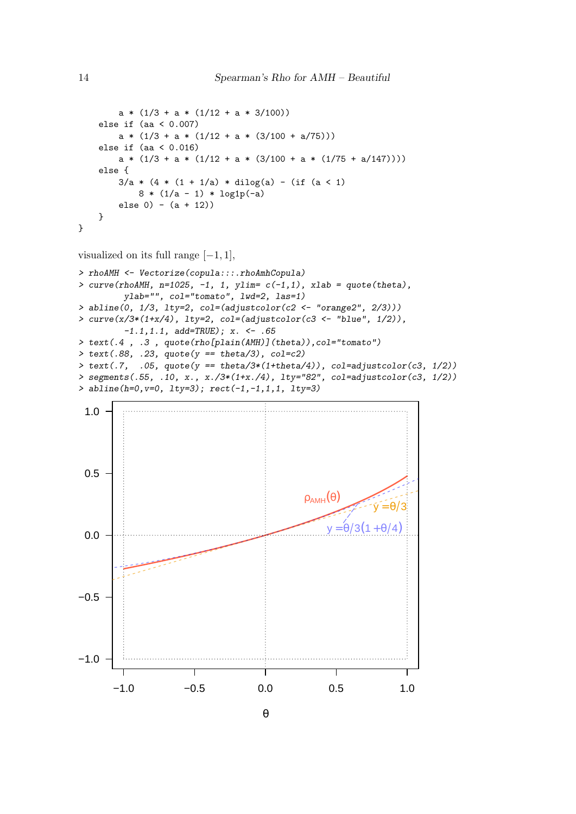```
a * (1/3 + a * (1/12 + a * 3/100))else if (aa < 0.007)
        a * (1/3 + a * (1/12 + a * (3/100 + a/75)))else if (aa < 0.016)
        a * (1/3 + a * (1/12 + a * (3/100 + a * (1/75 + a/147))))else {
        3/a * (4 * (1 + 1/a) * dilog(a) - (if (a < 1))8 * (1/a - 1) * log1p(-a)else 0) - (a + 12))
    }
}
```
visualized on its full range  $[-1, 1]$ ,

```
> rhoAMH <- Vectorize(copula:::.rhoAmhCopula)
> curve(rhoAMH, n=1025, -1, 1, ylim= c(-1,1), xlab = quote(theta),
        ylab="", col="tomato", lwd=2, las=1)
> abline(0, 1/3, lty=2, col=(adjustcolor(c2 <- "orange2", 2/3)))
> curve(x/3*(1+x/4), lty=2, col=(adjustcolor(c3 <- "blue", 1/2)),
         -1.1, 1.1, add = TRUE; x. <- .65
> text(.4 , .3 , quote(rho[plain(AMH)](theta)),col="tomato")
> text(.88, .23, quote(y == theta/3), col=c2)
> text(.7, .05, quote(y == \theta/3*(1+\theta)), col=adjustcolor(c3, 1/2))
> segments(.55, .10, x., x./3*(1+x./4), lty="82", col=adjustcolor(c3, 1/2))
> abline(h=0,v=0, lty=3); rect(-1, -1, 1, 1, 1, 1, v=3)
```


θ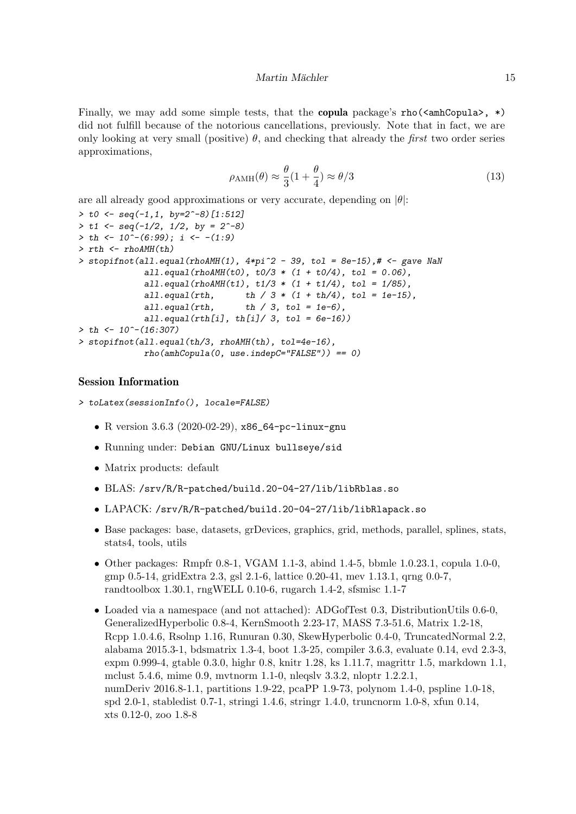Finally, we may add some simple tests, that the **copula** package's rho( $\langle \text{amhCopula>}\rangle$ , \*) did not fulfill because of the notorious cancellations, previously. Note that in fact, we are only looking at very small (positive)  $\theta$ , and checking that already the *first* two order series approximations,

$$
\rho_{\rm AMH}(\theta) \approx \frac{\theta}{3} (1 + \frac{\theta}{4}) \approx \theta/3 \tag{13}
$$

are all already good approximations or very accurate, depending on  $|\theta|$ :

```
> t0 <- seq(-1,1, by=2^-8)[1:512]
> t1 \leftarrow seq(-1/2, 1/2, by = 2^{\sim}-8)> th < -10^{\degree}-(6:99); i < -11:9> rth <- rhoAMH(th)
> stopifnot(all.equal(rhoAMH(1), 4*pi^2 - 39, tol = 8e-15),# <- gave NaN
             all.equal(rhoAMH(t0), t0/3 * (1 + t0/4), t01 = 0.06),
             all.equal(rhoAMH(t1), t1/3 * (1 + t1/4), tol = 1/85),
             all.equal(rth, th / 3 * (1 + th/4), tol = 1e-15),
             all.equal(rth, th / 3, tol = 1e-6),
             all.equal(rth[i], th[i]/3, tol = 6e-16)
> th < -10^-(16:307)
> stopifnot(all.equal(th/3, rhoAMH(th), tol=4e-16),
             rho(\text{amhCopula}(0, \text{use.index}) = 0)
```
#### Session Information

```
> toLatex(sessionInfo(), locale=FALSE)
```
- R version 3.6.3 (2020-02-29), x86\_64-pc-linux-gnu
- Running under: Debian GNU/Linux bullseye/sid
- Matrix products: default
- BLAS: /srv/R/R-patched/build.20-04-27/lib/libRblas.so
- LAPACK: /srv/R/R-patched/build.20-04-27/lib/libRlapack.so
- Base packages: base, datasets, grDevices, graphics, grid, methods, parallel, splines, stats, stats4, tools, utils
- Other packages: Rmpfr 0.8-1, VGAM 1.1-3, abind 1.4-5, bbmle 1.0.23.1, copula 1.0-0, gmp 0.5-14, gridExtra 2.3, gsl 2.1-6, lattice 0.20-41, mev 1.13.1, qrng 0.0-7, randtoolbox 1.30.1, rngWELL 0.10-6, rugarch 1.4-2, sfsmisc 1.1-7
- Loaded via a namespace (and not attached): ADGofTest 0.3, DistributionUtils 0.6-0, GeneralizedHyperbolic 0.8-4, KernSmooth 2.23-17, MASS 7.3-51.6, Matrix 1.2-18, Rcpp 1.0.4.6, Rsolnp 1.16, Runuran 0.30, SkewHyperbolic 0.4-0, TruncatedNormal 2.2, alabama 2015.3-1, bdsmatrix 1.3-4, boot 1.3-25, compiler 3.6.3, evaluate 0.14, evd 2.3-3, expm 0.999-4, gtable 0.3.0, highr 0.8, knitr 1.28, ks 1.11.7, magrittr 1.5, markdown 1.1, mclust 5.4.6, mime 0.9, mvtnorm 1.1-0, nleqslv 3.3.2, nloptr 1.2.2.1, numDeriv 2016.8-1.1, partitions 1.9-22, pcaPP 1.9-73, polynom 1.4-0, pspline 1.0-18, spd 2.0-1, stabledist 0.7-1, stringi 1.4.6, stringr 1.4.0, truncnorm 1.0-8, xfun 0.14, xts 0.12-0, zoo 1.8-8